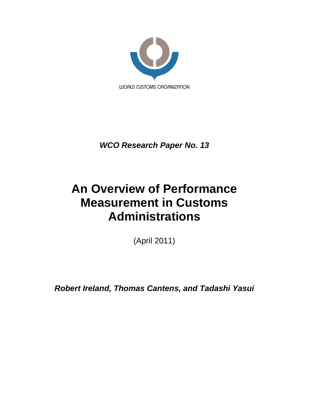

*WCO Research Paper No. 13*

# **An Overview of Performance Measurement in Customs Administrations**

(April 2011)

*Robert Ireland, Thomas Cantens, and Tadashi Yasui*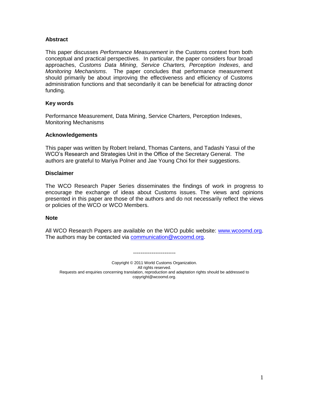## **Abstract**

This paper discusses *Performance Measurement* in the Customs context from both conceptual and practical perspectives. In particular, the paper considers four broad approaches, *Customs Data Mining*, *Service Charters, Perception Indexes*, and *Monitoring Mechanisms*. The paper concludes that performance measurement should primarily be about improving the effectiveness and efficiency of Customs administration functions and that secondarily it can be beneficial for attracting donor funding.

## **Key words**

Performance Measurement, Data Mining, Service Charters, Perception Indexes, Monitoring Mechanisms

#### **Acknowledgements**

This paper was written by Robert Ireland, Thomas Cantens, and Tadashi Yasui of the WCO"s Research and Strategies Unit in the Office of the Secretary General. The authors are grateful to Mariya Polner and Jae Young Choi for their suggestions.

## **Disclaimer**

The WCO Research Paper Series disseminates the findings of work in progress to encourage the exchange of ideas about Customs issues. The views and opinions presented in this paper are those of the authors and do not necessarily reflect the views or policies of the WCO or WCO Members.

#### **Note**

All WCO Research Papers are available on the WCO public website: [www.wcoomd.org.](http://www.wcoomd.org/) The authors may be contacted via [communication@wcoomd.org.](mailto:communication@wcoomd.org)

-----------------------

Copyright © 2011 World Customs Organization. All rights reserved. Requests and enquiries concerning translation, reproduction and adaptation rights should be addressed to copyright@wcoomd.org.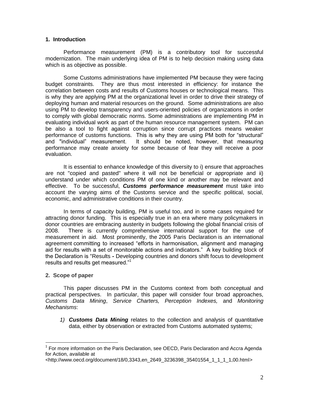## **1. Introduction**

Performance measurement (PM) is a contributory tool for successful modernization. The main underlying idea of PM is to help decision making using data which is as objective as possible.

Some Customs administrations have implemented PM because they were facing budget constraints. They are thus most interested in efficiency: for instance the correlation between costs and results of Customs houses or technological means. This is why they are applying PM at the organizational level in order to drive their strategy of deploying human and material resources on the ground. Some administrations are also using PM to develop transparency and users-oriented policies of organizations in order to comply with global democratic norms. Some administrations are implementing PM in evaluating individual work as part of the human resource management system. PM can be also a tool to fight against corruption since corrupt practices means weaker performance of customs functions. This is why they are using PM both for "structural" and "individual" measurement. It should be noted, however, that measuring performance may create anxiety for some because of fear they will receive a poor evaluation.

It is essential to enhance knowledge of this diversity to i) ensure that approaches are not "copied and pasted" where it will not be beneficial or appropriate and ii) understand under which conditions PM of one kind or another may be relevant and effective. To be successful, *Customs performance measurement* must take into account the varying aims of the Customs service and the specific political, social, economic, and administrative conditions in their country.

In terms of capacity building, PM is useful too, and in some cases required for attracting donor funding. This is especially true in an era where many policymakers in donor countries are embracing austerity in budgets following the global financial crisis of 2008. There is currently comprehensive international support for the use of measurement in aid. Most prominently, the 2005 Paris Declaration is an international agreement committing to increased "efforts in harmonisation, alignment and managing aid for results with a set of monitorable actions and indicators." A key building block of the Declaration is "Results *-* Developing countries and donors shift focus to development results and results get measured."<sup>1</sup>

# **2. Scope of paper**

 $\overline{a}$ 

This paper discusses PM in the Customs context from both conceptual and practical perspectives. In particular, this paper will consider four broad approaches, *Customs Data Mining*, *Service Charters, Perception Indexes,* and *Monitoring Mechanisms*:

*1) Customs Data Mining* relates to the collection and analysis of quantitative data, either by observation or extracted from Customs automated systems;

<sup>&</sup>lt;sup>1</sup> For more information on the Paris Declaration, see OECD, Paris Declaration and Accra Agenda for Action, available at

<sup>&</sup>lt;http://www.oecd.org/document/18/0,3343,en\_2649\_3236398\_35401554\_1\_1\_1\_1,00.html>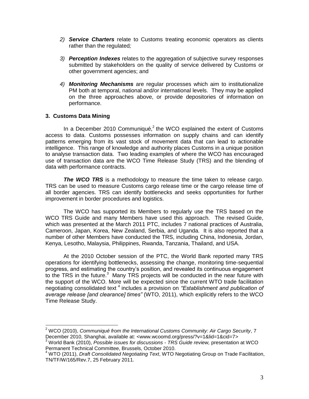- *2) Service Charters* relate to Customs treating economic operators as clients rather than the regulated*;*
- *3) Perception Indexes* relates to the aggregation of subjective survey responses submitted by stakeholders on the quality of service delivered by Customs or other government agencies; and
- *4) Monitoring Mechanisms* are regular processes which aim to institutionalize PM both at temporal, national and/or international levels. They may be applied on the three approaches above, or provide depositories of information on performance.

## **3. Customs Data Mining**

 $\overline{a}$ 

In a December 2010 Communiqué,<sup>2</sup> the WCO explained the extent of Customs access to data. Customs possesses information on supply chains and can identify patterns emerging from its vast stock of movement data that can lead to actionable intelligence. This range of knowledge and authority places Customs in a unique position to analyse transaction data. Two leading examples of where the WCO has encouraged use of transaction data are the WCO Time Release Study (TRS) and the blending of data with performance contracts.

**The WCO TRS** is a methodology to measure the time taken to release cargo. TRS can be used to measure Customs cargo release time or the cargo release time of all border agencies. TRS can identify bottlenecks and seeks opportunities for further improvement in border procedures and logistics.

The WCO has supported its Members to regularly use the TRS based on the WCO TRS Guide and many Members have used this approach. The revised Guide, which was presented at the March 2011 PTC, includes 7 national practices of Australia, Cameroon, Japan, Korea, New Zealand, Serbia, and Uganda. It is also reported that a number of other Members have conducted the TRS, including China, Indonesia, Jordan, Kenya, Lesotho, Malaysia, Philippines, Rwanda, Tanzania, Thailand, and USA.

At the 2010 October session of the PTC, the World Bank reported many TRS operations for identifying bottlenecks, assessing the change, monitoring time-sequential progress, and estimating the country"s position, and revealed its continuous engagement to the TRS in the future.<sup>3</sup> Many TRS projects will be conducted in the near future with the support of the WCO. More will be expected since the current WTO trade facilitation negotiating consolidated text<sup>4</sup> includes a provision on "Establishment and publication of *average release [and clearance] times"* (WTO, 2011), which explicitly refers to the WCO Time Release Study.

<sup>2</sup> WCO (2010), *Communiqué from the International Customs Community: Air Cargo Security*, 7 December 2010, Shanghai, available at: <www.wcoomd.org/press/?v=1&lid=1&cid=7>

<sup>3</sup> World Bank (2010), *Possible issues for discussions - TRS Guide review,* presentation at WCO Permanent Technical Committee, Brussels, October 2010.

<sup>4</sup> WTO (2011), *Draft Consolidated Negotiating Text*, WTO Negotiating Group on Trade Facilitation, TN/TF/W/165/Rev.7, 25 February 2011.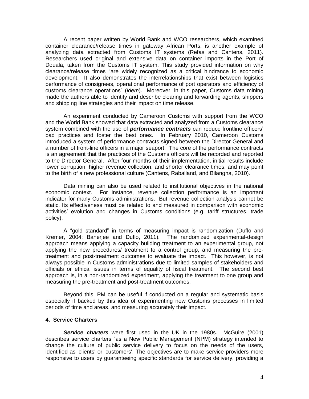A recent paper written by World Bank and WCO researchers, which examined container clearance/release times in gateway African Ports, is another example of analyzing data extracted from Customs IT systems (Refas and Cantens, 2011). Researchers used original and extensive data on container imports in the Port of Douala, taken from the Customs IT system. This study provided information on why clearance/release times "are widely recognized as a critical hindrance to economic development. It also demonstrates the interrelationships that exist between logistics performance of consignees, operational performance of port operators and efficiency of customs clearance operations" (*idem*). Moreover, in this paper, Customs data mining made the authors able to identify and describe clearing and forwarding agents, shippers and shipping line strategies and their impact on time release.

An experiment conducted by Cameroon Customs with support from the WCO and the World Bank showed that data extracted and analyzed from a Customs clearance system combined with the use of *performance contracts* can reduce frontline officers" bad practices and foster the best ones. In February 2010, Cameroon Customs introduced a system of performance contracts signed between the Director General and a number of front-line officers in a major seaport. The core of the performance contracts is an agreement that the practices of the Customs officers will be recorded and reported to the Director General. After four months of their implementation, initial results include lower corruption, higher revenue collection, and shorter clearance times, and may point to the birth of a new professional culture (Cantens, Raballand, and Bilangna, 2010).

Data mining can also be used related to institutional objectives in the national economic context. For instance, revenue collection performance is an important indicator for many Customs administrations. But revenue collection analysis cannot be static. Its effectiveness must be related to and measured in comparison with economic activities' evolution and changes in Customs conditions (e.g. tariff structures, trade policy).

A "gold standard" in terms of measuring impact is randomization (Duflo and Kremer, 2004; Banerjee and Duflo, 2011). The randomized experimental-design approach means applying a capacity building treatment to an experimental group, not applying the new procedures/ treatment to a control group, and measuring the pretreatment and post-treatment outcomes to evaluate the impact. This however, is not always possible in Customs administrations due to limited samples of stakeholders and officials or ethical issues in terms of equality of fiscal treatment. The second best approach is, in a non-randomized experiment, applying the treatment to one group and measuring the pre-treatment and post-treatment outcomes.

Beyond this, PM can be useful if conducted on a regular and systematic basis especially if backed by this idea of experimenting new Customs processes in limited periods of time and areas, and measuring accurately their impact.

#### **4. Service Charters**

**Service charters** were first used in the UK in the 1980s. McGuire (2001) describes service charters "as a New Public Management (NPM) strategy intended to change the culture of public service delivery to focus on the needs of the users, identified as 'clients' or 'customers'. The objectives are to make service providers more responsive to users by guaranteeing specific standards for service delivery, providing a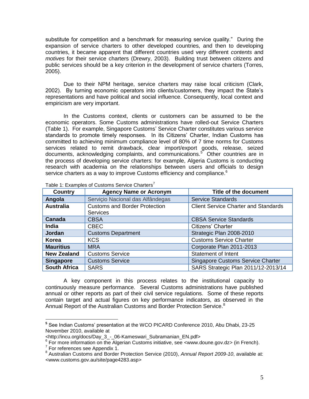substitute for competition and a benchmark for measuring service quality." During the expansion of service charters to other developed countries, and then to developing countries, it became apparent that different countries used very different *contents* and *motives* for their service charters (Drewry, 2003). Building trust between citizens and public services should be a key criterion in the development of service charters (Torres, 2005).

Due to their NPM heritage, service charters may raise local criticism (Clark, 2002). By turning economic operators into clients/customers, they impact the State"s representations and have political and social influence. Consequently, local context and empiricism are very important.

In the Customs context, clients or customers can be assumed to be the economic operators. Some Customs administrations have rolled-out Service Charters (Table 1). For example, Singapore Customs" Service Charter constitutes various service standards to promote timely responses. In its Citizens" Charter, Indian Customs has committed to achieving minimum compliance level of 80% of 7 time norms for Customs services related to remit drawback, clear import/export goods, release, seized documents, acknowledging complaints, and communications.<sup>5</sup> Other countries are in the process of developing service charters: for example, Algeria Customs is conducting research with academia on the relationships between users and officials to design service charters as a way to improve Customs efficiency and compliance.<sup>6</sup>

| <b>Country</b>      | <b>Agency Name or Acronym</b>                           | <b>Title of the document</b>                |
|---------------------|---------------------------------------------------------|---------------------------------------------|
| Angola              | Serviçio Nacional das Alfândegas                        | <b>Service Standards</b>                    |
| <b>Australia</b>    | <b>Customs and Border Protection</b><br><b>Services</b> | <b>Client Service Charter and Standards</b> |
| Canada              | <b>CBSA</b>                                             | <b>CBSA Service Standards</b>               |
| <b>India</b>        | <b>CBEC</b>                                             | Citizens' Charter                           |
| <b>Jordan</b>       | <b>Customs Department</b>                               | Strategic Plan 2008-2010                    |
| <b>Korea</b>        | <b>KCS</b>                                              | <b>Customs Service Charter</b>              |
| <b>Mauritius</b>    | <b>MRA</b>                                              | Corporate Plan 2011-2013                    |
| <b>New Zealand</b>  | <b>Customs Service</b>                                  | <b>Statement of Intent</b>                  |
| <b>Singapore</b>    | <b>Customs Service</b>                                  | <b>Singapore Customs Service Charter</b>    |
| <b>South Africa</b> | <b>SARS</b>                                             | SARS Strategic Plan 2011/12-2013/14         |

Table 1: Examples of Customs Service Charters<sup>7</sup>

A key component in this process relates to the institutional capacity to continuously measure performance. Several Customs administrations have published annual or other reports as part of their civil service regulations. Some of these reports contain target and actual figures on key performance indicators, as observed in the Annual Report of the Australian Customs and Border Protection Service.<sup>8</sup>

 **5** See Indian Customs" presentation at the WCO PICARD Conference 2010, Abu Dhabi, 23-25 November 2010, available at

<sup>&</sup>lt;http://incu.org/docs/Day\_3\_-\_06-Kameswari\_Subramanian\_EN.pdf> 6 For more information on the Algerian Customs initiative, see <www.doune.gov.dz> (in French).

<sup>&</sup>lt;sup>7</sup> For references see Appendix 1.

<sup>8</sup> Australian Customs and Border Protection Service (2010), *Annual Report 2009-10*, available at: <www.customs.gov.au/site/page4283.asp>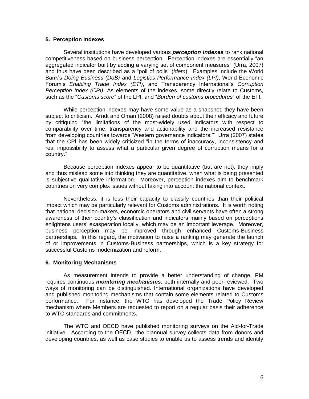#### **5. Perception Indexes**

Several institutions have developed various *perception indexes* to rank national competitiveness based on business perception. Perception indexes are essentially "an aggregated indicator built by adding a varying set of component measures" (Urra, 2007) and thus have been described as a "poll of polls" (*idem*). Examples include the World Bank"s *Doing Business (DoB)* and *Logistics Performance Index (LPI)*, World Economic Forum"s *Enabling Trade Index (ETI)*, and Transparency International"s *Corruption Perception Index (CPI)*. As elements of the indexes, some directly relate to Customs, such as the "*Customs score*" of the LPI, and "*Burden of customs procedures*" of the ETI.

While perception indexes may have some value as a snapshot, they have been subject to criticism. Arndt and Oman (2008) raised doubts about their efficacy and future by critiquing "the limitations of the most-widely used indicators with respect to comparability over time, transparency and actionability and the increased resistance from developing countries towards "Western governance indicators."" Urra (2007) states that the CPI has been widely criticized "in the terms of inaccuracy, inconsistency and real impossibility to assess what a particular given degree of corruption means for a country."

Because perception indexes appear to be quantitative (but are not), they imply and thus mislead some into thinking they are quantitative, when what is being presented is subjective qualitative information. Moreover, perception indexes aim to benchmark countries on very complex issues without taking into account the national context.

Nevertheless, it is less their capacity to classify countries than their political impact which may be particularly relevant for Customs administrations. It is worth noting that national decision-makers, economic operators and civil servants have often a strong awareness of their country"s classification and indicators mainly based on perceptions enlightens users' exasperation locally, which may be an important leverage. Moreover, business perception may be improved through enhanced Customs-Business partnerships. In this regard, the motivation to raise a ranking may generate the launch of or improvements in Customs-Business partnerships, which is a key strategy for successful Customs modernization and reform.

#### **6. Monitoring Mechanisms**

As measurement intends to provide a better understanding of change, PM requires continuous *monitoring mechanisms*, both internally and peer-reviewed. Two ways of monitoring can be distinguished. International organizations have developed and published monitoring mechanisms that contain some elements related to Customs performance. For instance, the WTO has developed the Trade Policy Review mechanism where Members are requested to report on a regular basis their adherence to WTO standards and commitments.

The WTO and OECD have published monitoring surveys on the Aid-for-Trade initiative. According to the OECD, "the biannual survey collects data from donors and developing countries, as well as case studies to enable us to assess trends and identify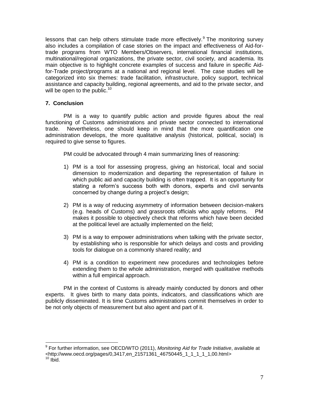lessons that can help others stimulate trade more effectively. $9$  The monitoring survey also includes a compilation of case stories on the impact and effectiveness of Aid-fortrade programs from WTO Members/Observers, international financial institutions, multinational/regional organizations, the private sector, civil society, and academia. Its main objective is to highlight concrete examples of success and failure in specific Aidfor-Trade project/programs at a national and regional level. The case studies will be categorized into six themes: trade facilitation, infrastructure, policy support, technical assistance and capacity building, regional agreements, and aid to the private sector, and will be open to the public. $10<sup>10</sup>$ 

# **7. Conclusion**

 $\overline{a}$ 

PM is a way to quantify public action and provide figures about the real functioning of Customs administrations and private sector connected to international trade. Nevertheless, one should keep in mind that the more quantification one administration develops, the more qualitative analysis (historical, political, social) is required to give sense to figures.

PM could be advocated through 4 main summarizing lines of reasoning:

- 1) PM is a tool for assessing progress, giving an historical, local and social dimension to modernization and departing the representation of failure in which public aid and capacity building is often trapped. It is an opportunity for stating a reform"s success both with donors, experts and civil servants concerned by change during a project's design;
- 2) PM is a way of reducing asymmetry of information between decision-makers (e.g. heads of Customs) and grassroots officials who apply reforms. PM makes it possible to objectively check that reforms which have been decided at the political level are actually implemented on the field;
- 3) PM is a way to empower administrations when talking with the private sector, by establishing who is responsible for which delays and costs and providing tools for dialogue on a commonly shared reality; and
- 4) PM is a condition to experiment new procedures and technologies before extending them to the whole administration, merged with qualitative methods within a full empirical approach.

PM in the context of Customs is already mainly conducted by donors and other experts. It gives birth to many data points, indicators, and classifications which are publicly disseminated. It is time Customs administrations commit themselves in order to be not only objects of measurement but also agent and part of it.

<sup>9</sup> For further information, see OECD/WTO (2011), *Monitoring Aid for Trade Initiative*, available at <http://www.oecd.org/pages/0,3417,en\_21571361\_46750445\_1\_1\_1\_1\_1,00.html>  $10$  lbid.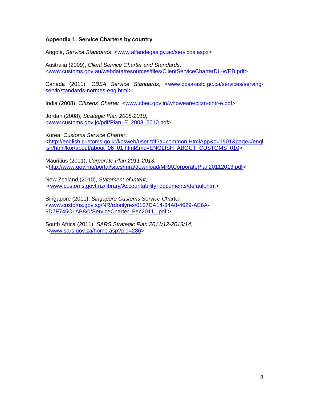# **Appendix 1. Service Charters by country**

Angola, *Service Standards*, [<www.alfandegas.gv.ao/servicos.aspx>](http://www.alfandegas.gv.ao/servicos.aspx)

Australia (2009), *Client Service Charter and Standards*, [<www.customs.gov.au/webdata/resources/files/ClientServiceCharterDL-WEB.pdf>](http://www.customs.gov.au/webdata/resources/files/ClientServiceCharterDL-WEB.pdf)

Canada (2011), *CBSA Service Standards*, [<www.cbsa-asfc.gc.ca/services/serving](http://www.cbsa-asfc.gc.ca/services/serving-servir/standards-normes-eng.html)[servir/standards-normes-eng.html>](http://www.cbsa-asfc.gc.ca/services/serving-servir/standards-normes-eng.html)

India (2008), *Citizens' Charter*, [<www.cbec.gov.in/whoweare/citzn-chtr-e.pdf>](http://www.cbec.gov.in/whoweare/citzn-chtr-e.pdf)

Jordan (2008), *Strategic Plan 2008-2010*, [<www.customs.gov.jo/pdf/Plan\\_E\\_2008\\_2010.pdf>](http://www.customs.gov.jo/pdf/Plan_E_2008_2010.pdf)

Korea, *Customs Service Charter*, [<http://english.customs.go.kr/kcsweb/user.tdf?a=common.HtmlApp&c=1501&page=/engl](http://english.customs.go.kr/kcsweb/user.tdf?a=common.HtmlApp&c=1501&page=/english/html/kor/about/about_06_01.html&mc=ENGLISH_ABOUT_CUSTOMS_010) [ish/html/kor/about/about\\_06\\_01.html&mc=ENGLISH\\_ABOUT\\_CUSTOMS\\_010>](http://english.customs.go.kr/kcsweb/user.tdf?a=common.HtmlApp&c=1501&page=/english/html/kor/about/about_06_01.html&mc=ENGLISH_ABOUT_CUSTOMS_010)

Mauritius (2011), *Corporate Plan 2011-2013*, [<http://www.gov.mu/portal/sites/mra/download/MRACorporatePlan20112013.pdf>](http://www.gov.mu/portal/sites/mra/download/MRACorporatePlan20112013.pdf)

New Zealand (2010), *Statement of Intent*, [<www.customs.govt.nz/library/Accountability+documents/default.htm>](http://www.customs.govt.nz/library/Accountability+documents/default.htm)

Singapore (2011), *Singapore Customs Service Charter*, [<www.customs.gov.sg/NR/rdonlyres/0107DA14-34A8-4629-AE6A-](http://www.customs.gov.sg/NR/rdonlyres/0107DA14-34A8-4629-AE6A-9D7F745C1AB8/0/ServiceCharter_Feb2011_.pdf)[9D7F745C1AB8/0/ServiceCharter\\_Feb2011\\_.pdf](http://www.customs.gov.sg/NR/rdonlyres/0107DA14-34A8-4629-AE6A-9D7F745C1AB8/0/ServiceCharter_Feb2011_.pdf) >

South Africa (2011), *SARS Strategic Plan 2011/12-2013/14*, [<www.sars.gov.za/home.asp?pid=286>](http://www.sars.gov.za/home.asp?pid=286)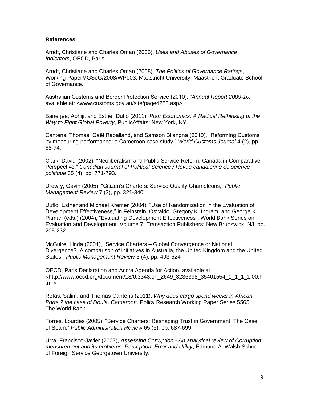### **References**

Arndt, Christiane and Charles Oman (2006), *Uses and Abuses of Governance Indicators*, OECD, Paris.

Arndt, Christiane and Charles Oman (2008), *The Politics of Governance Ratings*, Working PaperMGSoG/2008/WP003, Maastricht University, Maastricht Graduate School of Governance.

Australian Customs and Border Protection Service (2010), "*Annual Report 2009-10,*" available at: <www.customs.gov.au/site/page4283.asp>

Banerjee, Abhijit and Esther Duflo (2011), *Poor Economics: A Radical Rethinking of the Way to Fight Global Poverty*, PublicAffairs: New York, NY.

Cantens, Thomas, Gaël Raballand, and Samson Bilangna (2010), "Reforming Customs by measuring performance: a Cameroon case study," *World Customs Journal* 4 (2), pp. 55-74.

Clark, David (2002), "Neoliberalism and Public Service Reform: Canada in Comparative Perspective," *Canadian Journal of Political Science / Revue canadienne de science politique* 35 (4), pp. 771-793.

Drewry, Gavin (2005), "Citizen"s Charters: Service Quality Chameleons," *Public Management Review* 7 (3), pp. 321-340.

Duflo, Esther and Michael Kremer (2004), "Use of Randomization in the Evaluation of Development Effectiveness," in Feinstein, Osvaldo, Gregory K. Ingram, and George K. Pitman (eds.) (2004), "Evaluating Development Effectiveness", World Bank Series on Evaluation and Development, Volume 7, Transaction Publishers: New Brunswick, NJ, pp. 205-232.

McGuire, Linda (2001), "Service Charters – Global Convergence or National Divergence? A comparison of initiatives in Australia, the United Kingdom and the United States," *Public Management Review* 3 (4), pp. 493-524*.*

OECD, Paris Declaration and Accra Agenda for Action, available at <http://www.oecd.org/document/18/0,3343,en\_2649\_3236398\_35401554\_1\_1\_1\_1,00.h tml>

Refas, Salim, and Thomas Cantens (2011), *Why does cargo spend weeks in African Ports ? the case of Doula, Cameroon,* Policy Research Working Paper Series 5565, The World Bank.

Torres, Lourdes (2005), "Service Charters: Reshaping Trust in Government: The Case of Spain," *Public Administration Review* 65 (6), pp. 687-699.

Urra, Francisco-Javier (2007), *Assessing Corruption - An analytical review of Corruption measurement and its problems: Perception, Error and Utility*, Edmund A. Walsh School of Foreign Service Georgetown University.